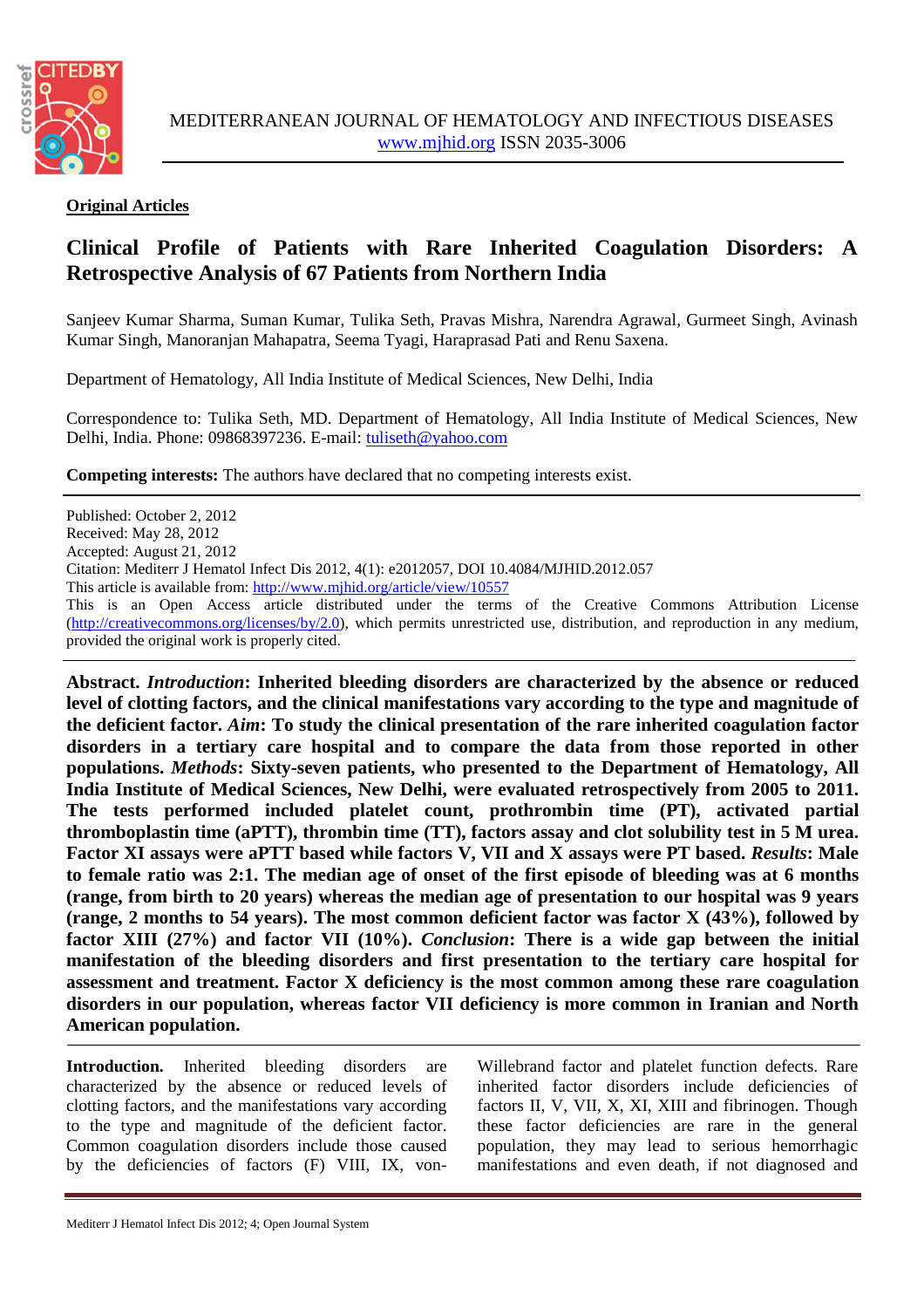

## **Original Articles**

## **Clinical Profile of Patients with Rare Inherited Coagulation Disorders: A Retrospective Analysis of 67 Patients from Northern India**

Sanjeev Kumar Sharma, Suman Kumar, Tulika Seth, Pravas Mishra, Narendra Agrawal, Gurmeet Singh, Avinash Kumar Singh, Manoranjan Mahapatra, Seema Tyagi, Haraprasad Pati and Renu Saxena.

Department of Hematology, All India Institute of Medical Sciences, New Delhi, India

Correspondence to: Tulika Seth, MD. Department of Hematology, All India Institute of Medical Sciences, New Delhi, India. Phone: 09868397236. E-mail: [tuliseth@yahoo.com](mailto:tuliseth@yahoo.com)

**Competing interests:** The authors have declared that no competing interests exist.

Published: October 2, 2012 Received: May 28, 2012 Accepted: August 21, 2012 Citation: Mediterr J Hematol Infect Dis 2012, 4(1): e2012057, DOI 10.4084/MJHID.2012.057 This article is available from: <http://www.mjhid.org/article/view/10557> This is an Open Access article distributed under the terms of the Creative Commons Attribution License [\(http://creativecommons.org/licenses/by/2.0\)](http://creativecommons.org/licenses/by/2.0), which permits unrestricted use, distribution, and reproduction in any medium, provided the original work is properly cited.

**Abstract.** *Introduction***: Inherited bleeding disorders are characterized by the absence or reduced level of clotting factors, and the clinical manifestations vary according to the type and magnitude of the deficient factor.** *Aim***: To study the clinical presentation of the rare inherited coagulation factor disorders in a tertiary care hospital and to compare the data from those reported in other populations.** *Methods***: Sixty-seven patients, who presented to the Department of Hematology, All India Institute of Medical Sciences, New Delhi, were evaluated retrospectively from 2005 to 2011. The tests performed included platelet count, prothrombin time (PT), activated partial thromboplastin time (aPTT), thrombin time (TT), factors assay and clot solubility test in 5 M urea. Factor XI assays were aPTT based while factors V, VII and X assays were PT based.** *Results***: Male to female ratio was 2:1. The median age of onset of the first episode of bleeding was at 6 months (range, from birth to 20 years) whereas the median age of presentation to our hospital was 9 years (range, 2 months to 54 years). The most common deficient factor was factor X (43%), followed by factor XIII (27%) and factor VII (10%).** *Conclusion***: There is a wide gap between the initial manifestation of the bleeding disorders and first presentation to the tertiary care hospital for assessment and treatment. Factor X deficiency is the most common among these rare coagulation disorders in our population, whereas factor VII deficiency is more common in Iranian and North American population.**

Introduction. Inherited bleeding disorders are characterized by the absence or reduced levels of clotting factors, and the manifestations vary according to the type and magnitude of the deficient factor. Common coagulation disorders include those caused by the deficiencies of factors (F) VIII, IX, vonWillebrand factor and platelet function defects. Rare inherited factor disorders include deficiencies of factors II, V, VII, X, XI, XIII and fibrinogen. Though these factor deficiencies are rare in the general population, they may lead to serious hemorrhagic manifestations and even death, if not diagnosed and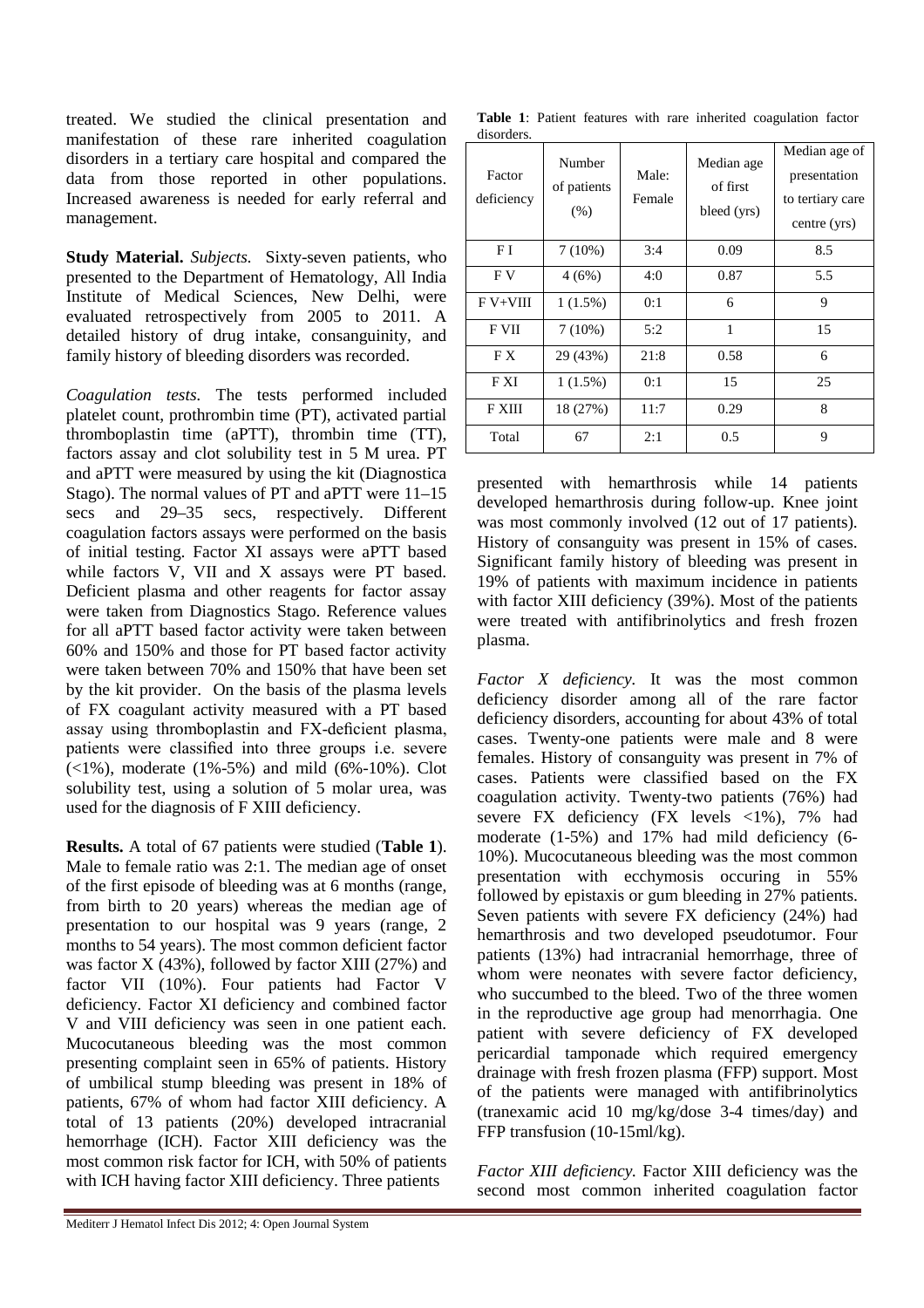treated. We studied the clinical presentation and manifestation of these rare inherited coagulation disorders in a tertiary care hospital and compared the data from those reported in other populations. Increased awareness is needed for early referral and management.

**Study Material.** *Subjects.* Sixty-seven patients, who presented to the Department of Hematology, All India Institute of Medical Sciences, New Delhi, were evaluated retrospectively from 2005 to 2011. A detailed history of drug intake, consanguinity, and family history of bleeding disorders was recorded.

*Coagulation tests.* The tests performed included platelet count, prothrombin time (PT), activated partial thromboplastin time (aPTT), thrombin time (TT), factors assay and clot solubility test in 5 M urea. PT and aPTT were measured by using the kit (Diagnostica Stago). The normal values of PT and aPTT were 11–15 secs and 29–35 secs, respectively. Different coagulation factors assays were performed on the basis of initial testing. Factor XI assays were aPTT based while factors V, VII and X assays were PT based. Deficient plasma and other reagents for factor assay were taken from Diagnostics Stago. Reference values for all aPTT based factor activity were taken between 60% and 150% and those for PT based factor activity were taken between 70% and 150% that have been set by the kit provider. On the basis of the plasma levels of FX coagulant activity measured with a PT based assay using thromboplastin and FX-deficient plasma, patients were classified into three groups i.e. severe  $(<1\%)$ , moderate  $(1\% - 5\%)$  and mild  $(6\% - 10\%)$ . Clot solubility test, using a solution of 5 molar urea, was used for the diagnosis of F XIII deficiency.

**Results.** A total of 67 patients were studied (**Table 1**). Male to female ratio was 2:1. The median age of onset of the first episode of bleeding was at 6 months (range, from birth to 20 years) whereas the median age of presentation to our hospital was 9 years (range, 2 months to 54 years). The most common deficient factor was factor X (43%), followed by factor XIII (27%) and factor VII (10%). Four patients had Factor V deficiency. Factor XI deficiency and combined factor V and VIII deficiency was seen in one patient each. Mucocutaneous bleeding was the most common presenting complaint seen in 65% of patients. History of umbilical stump bleeding was present in 18% of patients, 67% of whom had factor XIII deficiency. A total of 13 patients (20%) developed intracranial hemorrhage (ICH). Factor XIII deficiency was the most common risk factor for ICH, with 50% of patients with ICH having factor XIII deficiency. Three patients

**Table 1**: Patient features with rare inherited coagulation factor disorders.

| Factor<br>deficiency | Number<br>of patients<br>(% ) | Male:<br>Female | Median age<br>of first<br>bleed (yrs) | Median age of<br>presentation<br>to tertiary care<br>centre (yrs) |
|----------------------|-------------------------------|-----------------|---------------------------------------|-------------------------------------------------------------------|
| F I                  | $7(10\%)$                     | 3:4             | 0.09                                  | 8.5                                                               |
| F V                  | 4(6%)                         | 4:0             | 0.87                                  | 5.5                                                               |
| $F V+VIII$           | $1(1.5\%)$                    | 0:1             | 6                                     | 9                                                                 |
| F VII                | $7(10\%)$                     | 5:2             | $\mathbf{1}$                          | 15                                                                |
| F X                  | 29 (43%)                      | 21:8            | 0.58                                  | 6                                                                 |
| F XI                 | $1(1.5\%)$                    | 0:1             | 15                                    | 25                                                                |
| F XIII               | 18 (27%)                      | 11:7            | 0.29                                  | 8                                                                 |
| Total                | 67                            | 2:1             | 0.5                                   | 9                                                                 |

presented with hemarthrosis while 14 patients developed hemarthrosis during follow-up. Knee joint was most commonly involved (12 out of 17 patients). History of consanguity was present in 15% of cases. Significant family history of bleeding was present in 19% of patients with maximum incidence in patients with factor XIII deficiency (39%). Most of the patients were treated with antifibrinolytics and fresh frozen plasma.

*Factor X deficiency.* It was the most common deficiency disorder among all of the rare factor deficiency disorders, accounting for about 43% of total cases. Twenty-one patients were male and 8 were females. History of consanguity was present in 7% of cases. Patients were classified based on the FX coagulation activity. Twenty-two patients (76%) had severe FX deficiency (FX levels <1%), 7% had moderate (1-5%) and 17% had mild deficiency (6- 10%). Mucocutaneous bleeding was the most common presentation with ecchymosis occuring in 55% followed by epistaxis or gum bleeding in 27% patients. Seven patients with severe FX deficiency (24%) had hemarthrosis and two developed pseudotumor. Four patients (13%) had intracranial hemorrhage, three of whom were neonates with severe factor deficiency, who succumbed to the bleed. Two of the three women in the reproductive age group had menorrhagia. One patient with severe deficiency of FX developed pericardial tamponade which required emergency drainage with fresh frozen plasma (FFP) support. Most of the patients were managed with antifibrinolytics (tranexamic acid 10 mg/kg/dose 3-4 times/day) and FFP transfusion (10-15ml/kg).

*Factor XIII deficiency.* Factor XIII deficiency was the second most common inherited coagulation factor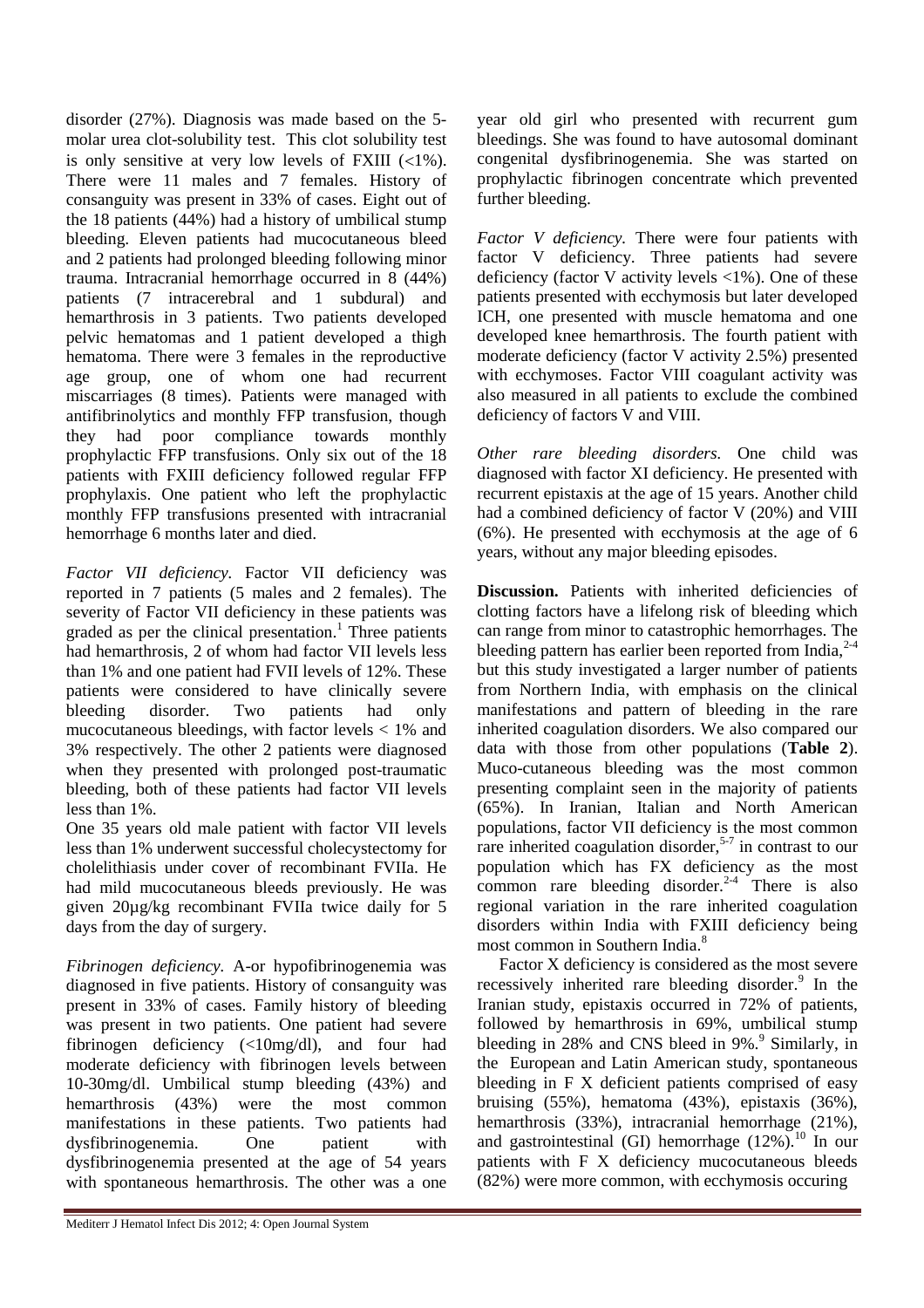disorder (27%). Diagnosis was made based on the 5 molar urea clot-solubility test. This clot solubility test is only sensitive at very low levels of FXIII  $(\langle 1\% \rangle)$ . There were 11 males and 7 females. History of consanguity was present in 33% of cases. Eight out of the 18 patients (44%) had a history of umbilical stump bleeding. Eleven patients had mucocutaneous bleed and 2 patients had prolonged bleeding following minor trauma. Intracranial hemorrhage occurred in 8 (44%) patients (7 intracerebral and 1 subdural) and hemarthrosis in 3 patients. Two patients developed pelvic hematomas and 1 patient developed a thigh hematoma. There were 3 females in the reproductive age group, one of whom one had recurrent miscarriages (8 times). Patients were managed with antifibrinolytics and monthly FFP transfusion, though they had poor compliance towards monthly prophylactic FFP transfusions. Only six out of the 18 patients with FXIII deficiency followed regular FFP prophylaxis. One patient who left the prophylactic monthly FFP transfusions presented with intracranial hemorrhage 6 months later and died.

*Factor VII deficiency.* Factor VII deficiency was reported in 7 patients (5 males and 2 females). The severity of Factor VII deficiency in these patients was graded as per the clinical presentation.<sup>1</sup> Three patients had hemarthrosis, 2 of whom had factor VII levels less than 1% and one patient had FVII levels of 12%. These patients were considered to have clinically severe bleeding disorder. Two patients had only mucocutaneous bleedings, with factor levels  $< 1\%$  and 3% respectively. The other 2 patients were diagnosed when they presented with prolonged post-traumatic bleeding, both of these patients had factor VII levels less than 1%.

One 35 years old male patient with factor VII levels less than 1% underwent successful cholecystectomy for cholelithiasis under cover of recombinant FVIIa. He had mild mucocutaneous bleeds previously. He was given 20µg/kg recombinant FVIIa twice daily for 5 days from the day of surgery.

*Fibrinogen deficiency.* A-or hypofibrinogenemia was diagnosed in five patients. History of consanguity was present in 33% of cases. Family history of bleeding was present in two patients. One patient had severe fibrinogen deficiency (<10mg/dl), and four had moderate deficiency with fibrinogen levels between 10-30mg/dl. Umbilical stump bleeding (43%) and hemarthrosis (43%) were the most common manifestations in these patients. Two patients had dysfibrinogenemia. One patient with dysfibrinogenemia presented at the age of 54 years with spontaneous hemarthrosis. The other was a one

year old girl who presented with recurrent gum bleedings. She was found to have autosomal dominant congenital dysfibrinogenemia. She was started on prophylactic fibrinogen concentrate which prevented further bleeding.

*Factor V deficiency.* There were four patients with factor V deficiency. Three patients had severe deficiency (factor V activity levels  $\langle 1\% \rangle$ ). One of these patients presented with ecchymosis but later developed ICH, one presented with muscle hematoma and one developed knee hemarthrosis. The fourth patient with moderate deficiency (factor V activity 2.5%) presented with ecchymoses. Factor VIII coagulant activity was also measured in all patients to exclude the combined deficiency of factors V and VIII.

*Other rare bleeding disorders.* One child was diagnosed with factor XI deficiency. He presented with recurrent epistaxis at the age of 15 years. Another child had a combined deficiency of factor V (20%) and VIII (6%). He presented with ecchymosis at the age of 6 years, without any major bleeding episodes.

**Discussion.** Patients with inherited deficiencies of clotting factors have a lifelong risk of bleeding which can range from minor to catastrophic hemorrhages. The bleeding pattern has earlier been reported from India, $^{2-4}$ but this study investigated a larger number of patients from Northern India, with emphasis on the clinical manifestations and pattern of bleeding in the rare inherited coagulation disorders. We also compared our data with those from other populations (**Table 2**). Muco-cutaneous bleeding was the most common presenting complaint seen in the majority of patients (65%). In Iranian, Italian and North American populations, factor VII deficiency is the most common rare inherited coagulation disorder, $5-7$  in contrast to our population which has FX deficiency as the most common rare bleeding disorder. $24$  There is also regional variation in the rare inherited coagulation disorders within India with FXIII deficiency being most common in Southern India.<sup>8</sup>

Factor X deficiency is considered as the most severe recessively inherited rare bleeding disorder.<sup>9</sup> In the Iranian study, epistaxis occurred in 72% of patients, followed by hemarthrosis in 69%, umbilical stump bleeding in 28% and CNS bleed in 9%.<sup>9</sup> Similarly, in the European and Latin American study, spontaneous bleeding in F X deficient patients comprised of easy bruising (55%), hematoma (43%), epistaxis (36%), hemarthrosis (33%), intracranial hemorrhage (21%), and gastrointestinal (GI) hemorrhage  $(12\%)$ .<sup>10</sup> In our patients with F X deficiency mucocutaneous bleeds (82%) were more common, with ecchymosis occuring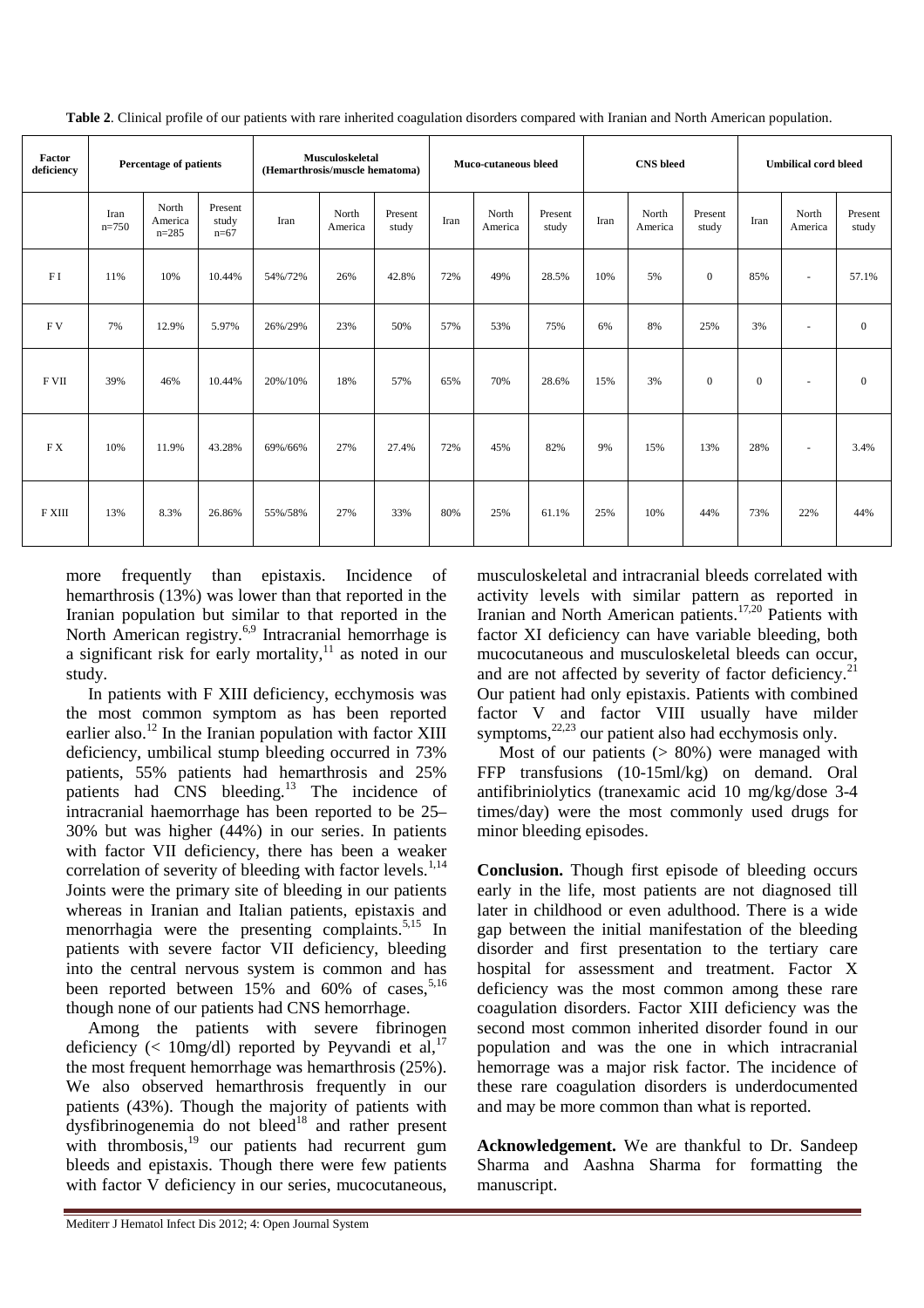| Factor<br>deficiency | Percentage of patients |                               | Musculoskeletal<br>(Hemarthrosis/muscle hematoma) |         | Muco-cutaneous bleed |                  | <b>CNS</b> bleed |                  |                  | <b>Umbilical cord bleed</b> |                  |                  |              |                          |                  |
|----------------------|------------------------|-------------------------------|---------------------------------------------------|---------|----------------------|------------------|------------------|------------------|------------------|-----------------------------|------------------|------------------|--------------|--------------------------|------------------|
|                      | Iran<br>$n=750$        | North<br>America<br>$n = 285$ | Present<br>study<br>$n=67$                        | Iran    | North<br>America     | Present<br>study | Iran             | North<br>America | Present<br>study | Iran                        | North<br>America | Present<br>study | Iran         | North<br>America         | Present<br>study |
| FI                   | 11%                    | 10%                           | 10.44%                                            | 54%/72% | 26%                  | 42.8%            | 72%              | 49%              | 28.5%            | 10%                         | 5%               | $\mathbf{0}$     | 85%          | $\sim$                   | 57.1%            |
| FV                   | 7%                     | 12.9%                         | 5.97%                                             | 26%/29% | 23%                  | 50%              | 57%              | 53%              | 75%              | 6%                          | 8%               | 25%              | 3%           | $\overline{\phantom{a}}$ | $\mathbf{0}$     |
| F VII                | 39%                    | 46%                           | 10.44%                                            | 20%/10% | 18%                  | 57%              | 65%              | 70%              | 28.6%            | 15%                         | 3%               | $\mathbf{0}$     | $\mathbf{0}$ | $\sim$                   | $\overline{0}$   |
| FX                   | 10%                    | 11.9%                         | 43.28%                                            | 69%/66% | 27%                  | 27.4%            | 72%              | 45%              | 82%              | 9%                          | 15%              | 13%              | 28%          | $\sim$                   | 3.4%             |
| $F$ XIII             | 13%                    | 8.3%                          | 26.86%                                            | 55%/58% | 27%                  | 33%              | 80%              | 25%              | 61.1%            | 25%                         | 10%              | 44%              | 73%          | 22%                      | 44%              |

**Table 2**. Clinical profile of our patients with rare inherited coagulation disorders compared with Iranian and North American population.

more frequently than epistaxis. Incidence of hemarthrosis (13%) was lower than that reported in the Iranian population but similar to that reported in the North American registry.<sup>6,9</sup> Intracranial hemorrhage is a significant risk for early mortality, $11$  as noted in our study.

In patients with F XIII deficiency, ecchymosis was the most common symptom as has been reported earlier also.<sup>12</sup> In the Iranian population with factor XIII deficiency, umbilical stump bleeding occurred in 73% patients, 55% patients had hemarthrosis and 25% patients had CNS bleeding.<sup>13</sup> The incidence of intracranial haemorrhage has been reported to be 25– 30% but was higher (44%) in our series. In patients with factor VII deficiency, there has been a weaker correlation of severity of bleeding with factor levels. $^{1,14}$ Joints were the primary site of bleeding in our patients whereas in Iranian and Italian patients, epistaxis and menorrhagia were the presenting complaints. $5,15$  In patients with severe factor VII deficiency, bleeding into the central nervous system is common and has been reported between  $15\%$  and  $60\%$  of cases,<sup>5,16</sup> though none of our patients had CNS hemorrhage.

Among the patients with severe fibrinogen deficiency (< 10mg/dl) reported by Peyvandi et al,  $17$ the most frequent hemorrhage was hemarthrosis (25%). We also observed hemarthrosis frequently in our patients (43%). Though the majority of patients with dysfibrinogenemia do not bleed<sup>18</sup> and rather present with thrombosis, $19$  our patients had recurrent gum bleeds and epistaxis. Though there were few patients with factor V deficiency in our series, mucocutaneous,

musculoskeletal and intracranial bleeds correlated with activity levels with similar pattern as reported in Iranian and North American patients.<sup>17,20</sup> Patients with factor XI deficiency can have variable bleeding, both mucocutaneous and musculoskeletal bleeds can occur, and are not affected by severity of factor deficiency.<sup>21</sup> Our patient had only epistaxis. Patients with combined factor V and factor VIII usually have milder symptoms, $22,23$  our patient also had ecchymosis only.

Most of our patients  $(> 80\%)$  were managed with FFP transfusions (10-15ml/kg) on demand. Oral antifibriniolytics (tranexamic acid 10 mg/kg/dose 3-4 times/day) were the most commonly used drugs for minor bleeding episodes.

**Conclusion.** Though first episode of bleeding occurs early in the life, most patients are not diagnosed till later in childhood or even adulthood. There is a wide gap between the initial manifestation of the bleeding disorder and first presentation to the tertiary care hospital for assessment and treatment. Factor X deficiency was the most common among these rare coagulation disorders. Factor XIII deficiency was the second most common inherited disorder found in our population and was the one in which intracranial hemorrage was a major risk factor. The incidence of these rare coagulation disorders is underdocumented and may be more common than what is reported.

**Acknowledgement.** We are thankful to Dr. Sandeep Sharma and Aashna Sharma for formatting the manuscript.